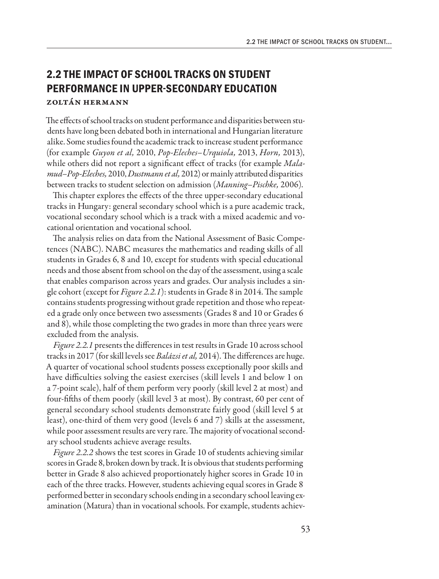## **2.2 THE IMPACT OF SCHOOL TRACKS ON STUDENT PERFORMANCE IN UPPER-SECONDARY EDUCATION** Zoltán Hermann

The effects of school tracks on student performance and disparities between students have long been debated both in international and Hungarian literature alike. Some studies found the academic track to increase student performance (for example *Guyon et al,* 2010, *Pop-Eleches–Urquiola,* 2013, *Horn,* 2013), while others did not report a significant effect of tracks (for example *Malamud–Pop-Eleches,* 2010, *Dustmann et al,* 2012) or mainly attributed disparities between tracks to student selection on admission (*Manning–Pischke,* 2006).

This chapter explores the effects of the three upper-secondary educational tracks in Hungary: general secondary school which is a pure academic track, vocational secondary school which is a track with a mixed academic and vocational orientation and vocational school.

The analysis relies on data from the National Assessment of Basic Competences (NABC). NABC measures the mathematics and reading skills of all students in Grades 6, 8 and 10, except for students with special educational needs and those absent from school on the day of the assessment, using a scale that enables comparison across years and grades. Our analysis includes a single cohort (except for *Figure 2.2.1*): students in Grade 8 in 2014. The sample contains students progressing without grade repetition and those who repeated a grade only once between two assessments (Grades 8 and 10 or Grades 6 and 8), while those completing the two grades in more than three years were excluded from the analysis.

*Figure 2.2.1* presents the differences in test results in Grade 10 across school tracks in 2017 (for skill levels see *Balázsi et al,* 2014). The differences are huge. A quarter of vocational school students possess exceptionally poor skills and have difficulties solving the easiest exercises (skill levels 1 and below 1 on a 7-point scale), half of them perform very poorly (skill level 2 at most) and four-fifths of them poorly (skill level 3 at most). By contrast, 60 per cent of general secondary school students demonstrate fairly good (skill level 5 at least), one-third of them very good (levels 6 and 7) skills at the assessment, while poor assessment results are very rare. The majority of vocational secondary school students achieve average results.

*Figure 2.2.2* shows the test scores in Grade 10 of students achieving similar scores in Grade 8, broken down by track. It is obvious that students performing better in Grade 8 also achieved proportionately higher scores in Grade 10 in each of the three tracks. However, students achieving equal scores in Grade 8 performed better in secondary schools ending in a secondary school leaving examination (Matura) than in vocational schools. For example, students achiev-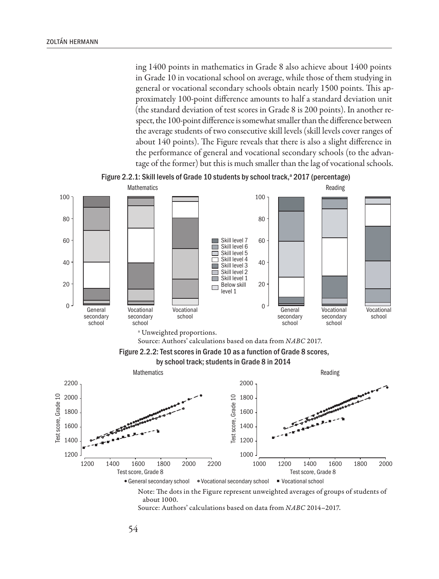ing 1400 points in mathematics in Grade 8 also achieve about 1400 points in Grade 10 in vocational school on average, while those of them studying in general or vocational secondary schools obtain nearly 1500 points. This approximately 100-point difference amounts to half a standard deviation unit (the standard deviation of test scores in Grade 8 is 200 points). In another respect, the 100-point difference is somewhat smaller than the difference between the average students of two consecutive skill levels (skill levels cover ranges of about 140 points). The Figure reveals that there is also a slight difference in the performance of general and vocational secondary schools (to the advantage of the former) but this is much smaller than the lag of vocational schools.



Figure 2.2.1: Skill levels of Grade 10 students by school track,<sup>a</sup> 2017 (percentage)

Source: Authors' calculations based on data from *NABC* 2014–2017.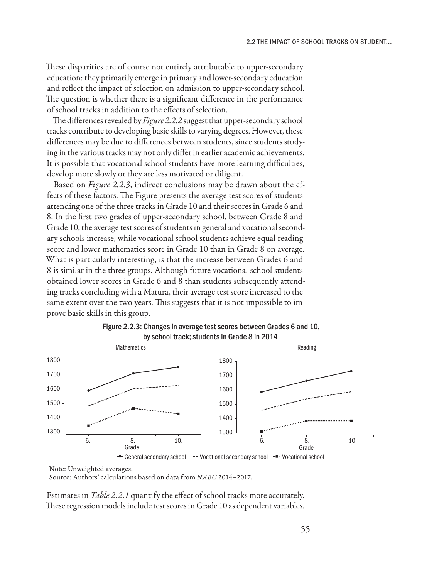These disparities are of course not entirely attributable to upper-secondary education: they primarily emerge in primary and lower-secondary education and reflect the impact of selection on admission to upper-secondary school. The question is whether there is a significant difference in the performance of school tracks in addition to the effects of selection.

The differences revealed by *Figure 2.2.2* suggest that upper-secondary school tracks contribute to developing basic skills to varying degrees. However, these differences may be due to differences between students, since students studying in the various tracks may not only differ in earlier academic achievements. It is possible that vocational school students have more learning difficulties, develop more slowly or they are less motivated or diligent.

Based on *Figure 2.2.3*, indirect conclusions may be drawn about the effects of these factors. The Figure presents the average test scores of students attending one of the three tracks in Grade 10 and their scores in Grade 6 and 8. In the first two grades of upper-secondary school, between Grade 8 and Grade 10, the average test scores of students in general and vocational secondary schools increase, while vocational school students achieve equal reading score and lower mathematics score in Grade 10 than in Grade 8 on average. What is particularly interesting, is that the increase between Grades 6 and 8 is similar in the three groups. Although future vocational school students obtained lower scores in Grade 6 and 8 than students subsequently attending tracks concluding with a Matura, their average test score increased to the same extent over the two years. This suggests that it is not impossible to improve basic skills in this group.





Note: Unweighted averages. Source: Authors' calculations based on data from *NABC* 2014–2017.

Estimates in *Table 2.2.1* quantify the effect of school tracks more accurately. These regression models include test scores in Grade 10 as dependent variables.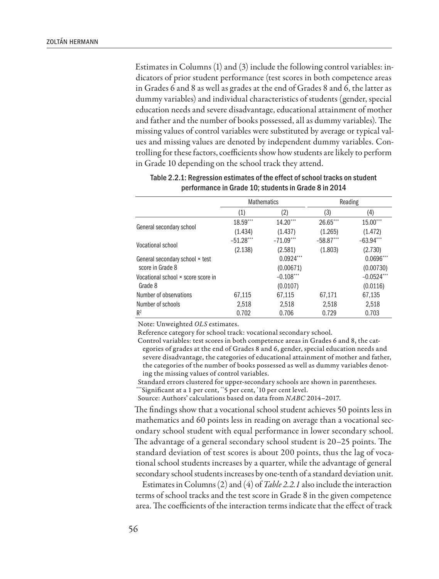Estimates in Columns (1) and (3) include the following control variables: indicators of prior student performance (test scores in both competence areas in Grades 6 and 8 as well as grades at the end of Grades 8 and 6, the latter as dummy variables) and individual characteristics of students (gender, special education needs and severe disadvantage, educational attainment of mother and father and the number of books possessed, all as dummy variables). The missing values of control variables were substituted by average or typical values and missing values are denoted by independent dummy variables. Controlling for these factors, coefficients show how students are likely to perform in Grade 10 depending on the school track they attend.

|                                    | <b>Mathematics</b> |              | Reading     |             |
|------------------------------------|--------------------|--------------|-------------|-------------|
|                                    | (1)                | (2)          | (3)         | (4)         |
| General secondary school           | $18.59***$         | $14.20***$   | $26.65***$  | $15.00***$  |
|                                    | (1.434)            | (1.437)      | (1.265)     | (1.472)     |
| Vocational school                  | $-51.28***$        | $-71.09***$  | $-58.87***$ | $-63.94***$ |
|                                    | (2.138)            | (2.581)      | (1.803)     | (2.730)     |
| General secondary school × test    |                    | $0.0924***$  |             | $0.0696***$ |
| score in Grade 8                   | (0.00671)          |              |             | (0.00730)   |
| Vocational school × score score in |                    | $-0.108$ *** |             | $-0.0524$   |
| Grade 8                            |                    | (0.0107)     |             | (0.0116)    |
| Number of observations             | 67,115             | 67,115       | 67,171      | 67.135      |
| Number of schools                  | 2,518              | 2,518        | 2,518       | 2,518       |
| $R^2$                              | 0.702              | 0.706        | 0.729       | 0.703       |

| Table 2.2.1: Regression estimates of the effect of school tracks on student |  |
|-----------------------------------------------------------------------------|--|
| performance in Grade 10; students in Grade 8 in 2014                        |  |

Note: Unweighted *OLS* estimates.

Reference category for school track: vocational secondary school.

Control variables: test scores in both competence areas in Grades 6 and 8, the categories of grades at the end of Grades 8 and 6, gender, special education needs and severe disadvantage, the categories of educational attainment of mother and father, the categories of the number of books possessed as well as dummy variables denoting the missing values of control variables.

Standard errors clustered for upper-secondary schools are shown in parentheses.

\*\*\*Significant at a 1 per cent, \*\*5 per cent, \* 10 per cent level.

Source: Authors' calculations based on data from *NABC* 2014–2017.

The findings show that a vocational school student achieves 50 points less in mathematics and 60 points less in reading on average than a vocational secondary school student with equal performance in lower secondary school. The advantage of a general secondary school student is 20–25 points. The standard deviation of test scores is about 200 points, thus the lag of vocational school students increases by a quarter, while the advantage of general secondary school students increases by one-tenth of a standard deviation unit.

Estimates in Columns (2) and (4) of *Table 2.2.1* also include the interaction terms of school tracks and the test score in Grade 8 in the given competence area. The coefficients of the interaction terms indicate that the effect of track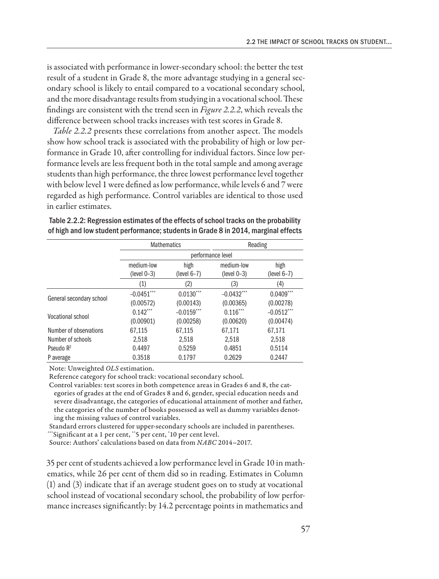is associated with performance in lower-secondary school: the better the test result of a student in Grade 8, the more advantage studying in a general secondary school is likely to entail compared to a vocational secondary school, and the more disadvantage results from studying in a vocational school. These findings are consistent with the trend seen in *Figure 2.2.2*, which reveals the difference between school tracks increases with test scores in Grade 8.

*Table 2.2.2* presents these correlations from another aspect. The models show how school track is associated with the probability of high or low performance in Grade 10, after controlling for individual factors. Since low performance levels are less frequent both in the total sample and among average students than high performance, the three lowest performance level together with below level 1 were defined as low performance, while levels 6 and 7 were regarded as high performance. Control variables are identical to those used in earlier estimates.

|                          |                             | <b>Mathematics</b>    |                             | Reading               |  |  |  |
|--------------------------|-----------------------------|-----------------------|-----------------------------|-----------------------|--|--|--|
|                          |                             | performance level     |                             |                       |  |  |  |
|                          | medium-low<br>$(level 0-3)$ | high<br>$(level 6-7)$ | medium-low<br>$(level 0-3)$ | high<br>$(level 6-7)$ |  |  |  |
|                          | (1)                         | (2)                   | (3)                         | (4)                   |  |  |  |
| General secondary school | $-0.0451***$                | $0.0130***$           | $-0.0432***$                | $0.0409***$           |  |  |  |
|                          | (0.00572)                   | (0.00143)             | (0.00365)                   | (0.00278)             |  |  |  |
| <b>Vocational school</b> | $0.142***$                  | $-0.0159$ ***         | $0.116***$                  | $-0.0512***$          |  |  |  |
|                          | (0.00901)                   | (0.00258)             | (0.00620)                   | (0.00474)             |  |  |  |
| Number of observations   | 67,115                      | 67,115                | 67.171                      | 67.171                |  |  |  |
| Number of schools        | 2.518                       | 2,518                 | 2,518                       | 2,518                 |  |  |  |
| Pseudo $R^2$             | 0.4497                      | 0.5259                | 0.4851                      | 0.5114                |  |  |  |
| P average                | 0.3518                      | 0.1797                | 0.2629                      | 0.2447                |  |  |  |

Table 2.2.2: Regression estimates of the effects of school tracks on the probability of high and low student performance; students in Grade 8 in 2014, marginal effects

Note: Unweighted *OLS* estimation.

Reference category for school track: vocational secondary school.

Control variables: test scores in both competence areas in Grades 6 and 8, the categories of grades at the end of Grades 8 and 6, gender, special education needs and severe disadvantage, the categories of educational attainment of mother and father, the categories of the number of books possessed as well as dummy variables denoting the missing values of control variables.

Standard errors clustered for upper-secondary schools are included in parentheses. \*\*\*Significant at a 1 per cent, \*\*5 per cent, \* 10 per cent level.

Source: Authors' calculations based on data from *NABC* 2014–2017.

35 per cent of students achieved a low performance level in Grade 10 in mathematics, while 26 per cent of them did so in reading. Estimates in Column (1) and (3) indicate that if an average student goes on to study at vocational school instead of vocational secondary school, the probability of low performance increases significantly: by 14.2 percentage points in mathematics and